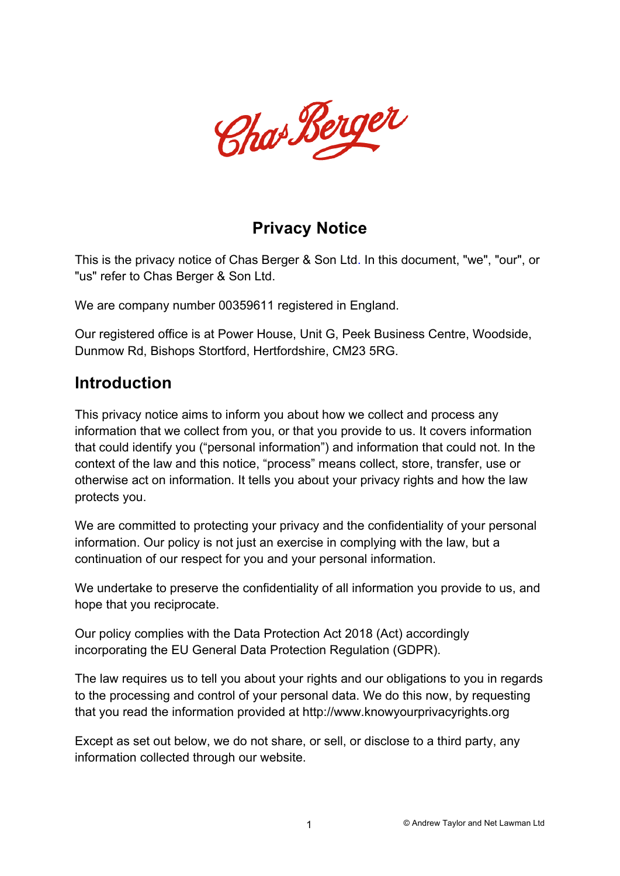

#### **Privacy Notice**

This is the privacy notice of Chas Berger & Son Ltd. In this document, "we", "our", or "us" refer to Chas Berger & Son Ltd.

We are company number 00359611 registered in England.

Our registered office is at Power House, Unit G, Peek Business Centre, Woodside, Dunmow Rd, Bishops Stortford, Hertfordshire, CM23 5RG.

#### **Introduction**

This privacy notice aims to inform you about how we collect and process any information that we collect from you, or that you provide to us. It covers information that could identify you ("personal information") and information that could not. In the context of the law and this notice, "process" means collect, store, transfer, use or otherwise act on information. It tells you about your privacy rights and how the law protects you.

We are committed to protecting your privacy and the confidentiality of your personal information. Our policy is not just an exercise in complying with the law, but a continuation of our respect for you and your personal information.

We undertake to preserve the confidentiality of all information you provide to us, and hope that you reciprocate.

Our policy complies with the Data Protection Act 2018 (Act) accordingly incorporating the EU General Data Protection Regulation (GDPR).

The law requires us to tell you about your rights and our obligations to you in regards to the processing and control of your personal data. We do this now, by requesting that you read the information provided at http://www.knowyourprivacyrights.org

Except as set out below, we do not share, or sell, or disclose to a third party, any information collected through our website.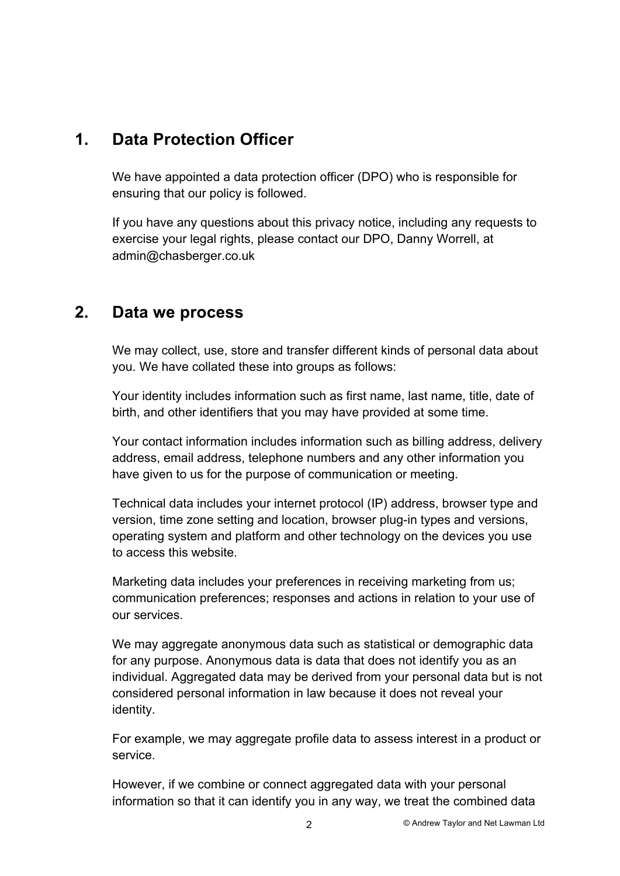#### **1. Data Protection Officer**

We have appointed a data protection officer (DPO) who is responsible for ensuring that our policy is followed.

If you have any questions about this privacy notice, including any requests to exercise your legal rights, please contact our DPO, Danny Worrell, at admin@chasberger.co.uk

#### **2. Data we process**

We may collect, use, store and transfer different kinds of personal data about you. We have collated these into groups as follows:

Your identity includes information such as first name, last name, title, date of birth, and other identifiers that you may have provided at some time.

Your contact information includes information such as billing address, delivery address, email address, telephone numbers and any other information you have given to us for the purpose of communication or meeting.

Technical data includes your internet protocol (IP) address, browser type and version, time zone setting and location, browser plug-in types and versions, operating system and platform and other technology on the devices you use to access this website.

Marketing data includes your preferences in receiving marketing from us; communication preferences; responses and actions in relation to your use of our services.

We may aggregate anonymous data such as statistical or demographic data for any purpose. Anonymous data is data that does not identify you as an individual. Aggregated data may be derived from your personal data but is not considered personal information in law because it does not reveal your identity.

For example, we may aggregate profile data to assess interest in a product or service.

However, if we combine or connect aggregated data with your personal information so that it can identify you in any way, we treat the combined data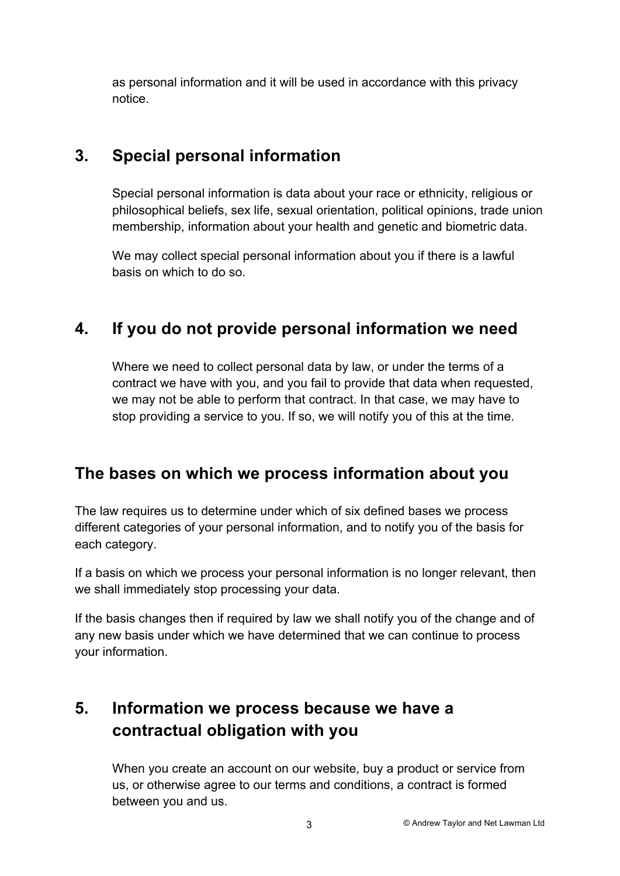as personal information and it will be used in accordance with this privacy notice.

# **3. Special personal information**

Special personal information is data about your race or ethnicity, religious or philosophical beliefs, sex life, sexual orientation, political opinions, trade union membership, information about your health and genetic and biometric data.

We may collect special personal information about you if there is a lawful basis on which to do so.

# **4. If you do not provide personal information we need**

Where we need to collect personal data by law, or under the terms of a contract we have with you, and you fail to provide that data when requested, we may not be able to perform that contract. In that case, we may have to stop providing a service to you. If so, we will notify you of this at the time.

# **The bases on which we process information about you**

The law requires us to determine under which of six defined bases we process different categories of your personal information, and to notify you of the basis for each category.

If a basis on which we process your personal information is no longer relevant, then we shall immediately stop processing your data.

If the basis changes then if required by law we shall notify you of the change and of any new basis under which we have determined that we can continue to process your information.

# **5. Information we process because we have a contractual obligation with you**

When you create an account on our website, buy a product or service from us, or otherwise agree to our terms and conditions, a contract is formed between you and us.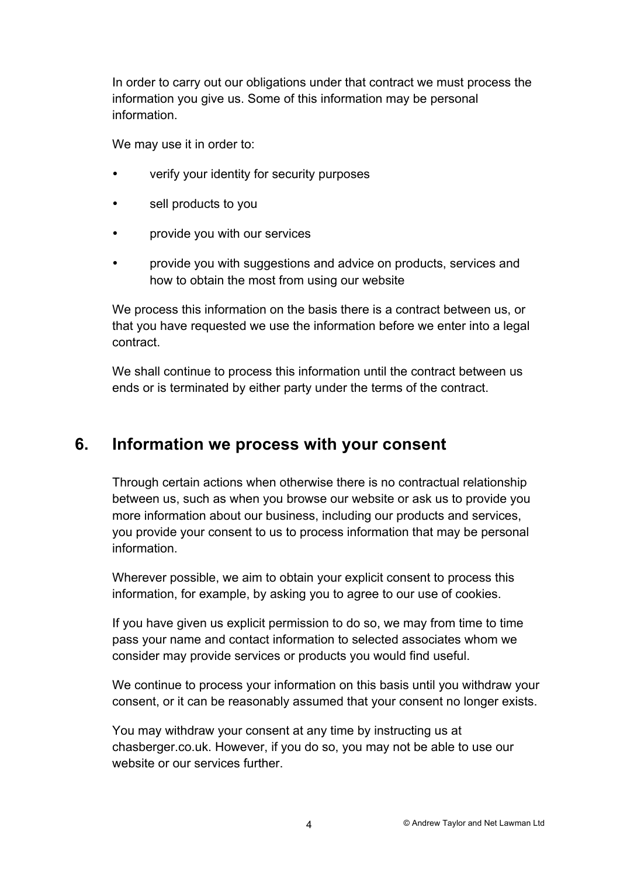In order to carry out our obligations under that contract we must process the information you give us. Some of this information may be personal information.

We may use it in order to:

- verify your identity for security purposes
- sell products to you
- provide you with our services
- provide you with suggestions and advice on products, services and how to obtain the most from using our website

We process this information on the basis there is a contract between us, or that you have requested we use the information before we enter into a legal contract.

We shall continue to process this information until the contract between us ends or is terminated by either party under the terms of the contract.

#### **6. Information we process with your consent**

Through certain actions when otherwise there is no contractual relationship between us, such as when you browse our website or ask us to provide you more information about our business, including our products and services, you provide your consent to us to process information that may be personal information.

Wherever possible, we aim to obtain your explicit consent to process this information, for example, by asking you to agree to our use of cookies.

If you have given us explicit permission to do so, we may from time to time pass your name and contact information to selected associates whom we consider may provide services or products you would find useful.

We continue to process your information on this basis until you withdraw your consent, or it can be reasonably assumed that your consent no longer exists.

You may withdraw your consent at any time by instructing us at chasberger.co.uk. However, if you do so, you may not be able to use our website or our services further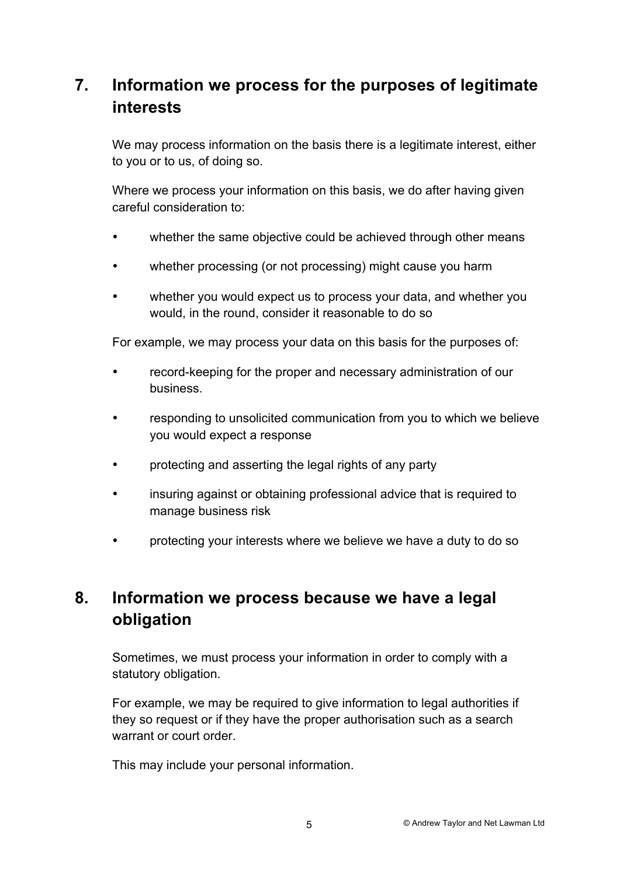# **7. Information we process for the purposes of legitimate interests**

We may process information on the basis there is a legitimate interest, either to you or to us, of doing so.

Where we process your information on this basis, we do after having given careful consideration to:

- whether the same objective could be achieved through other means
- whether processing (or not processing) might cause you harm
- whether you would expect us to process your data, and whether you would, in the round, consider it reasonable to do so

For example, we may process your data on this basis for the purposes of:

- record-keeping for the proper and necessary administration of our business.
- responding to unsolicited communication from you to which we believe you would expect a response
- protecting and asserting the legal rights of any party
- insuring against or obtaining professional advice that is required to manage business risk
- protecting your interests where we believe we have a duty to do so

# **8. Information we process because we have a legal obligation**

Sometimes, we must process your information in order to comply with a statutory obligation.

For example, we may be required to give information to legal authorities if they so request or if they have the proper authorisation such as a search warrant or court order.

This may include your personal information.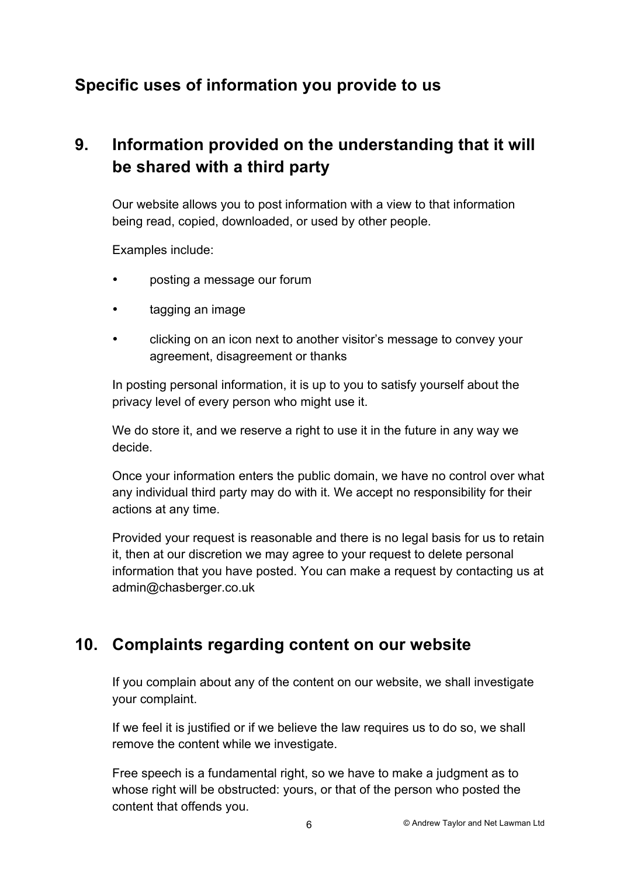# **Specific uses of information you provide to us**

# **9. Information provided on the understanding that it will be shared with a third party**

Our website allows you to post information with a view to that information being read, copied, downloaded, or used by other people.

Examples include:

- posting a message our forum
- tagging an image
- clicking on an icon next to another visitor's message to convey your agreement, disagreement or thanks

In posting personal information, it is up to you to satisfy yourself about the privacy level of every person who might use it.

We do store it, and we reserve a right to use it in the future in any way we decide.

Once your information enters the public domain, we have no control over what any individual third party may do with it. We accept no responsibility for their actions at any time.

Provided your request is reasonable and there is no legal basis for us to retain it, then at our discretion we may agree to your request to delete personal information that you have posted. You can make a request by contacting us at admin@chasberger.co.uk

#### **10. Complaints regarding content on our website**

If you complain about any of the content on our website, we shall investigate your complaint.

If we feel it is justified or if we believe the law requires us to do so, we shall remove the content while we investigate.

Free speech is a fundamental right, so we have to make a judgment as to whose right will be obstructed: yours, or that of the person who posted the content that offends you.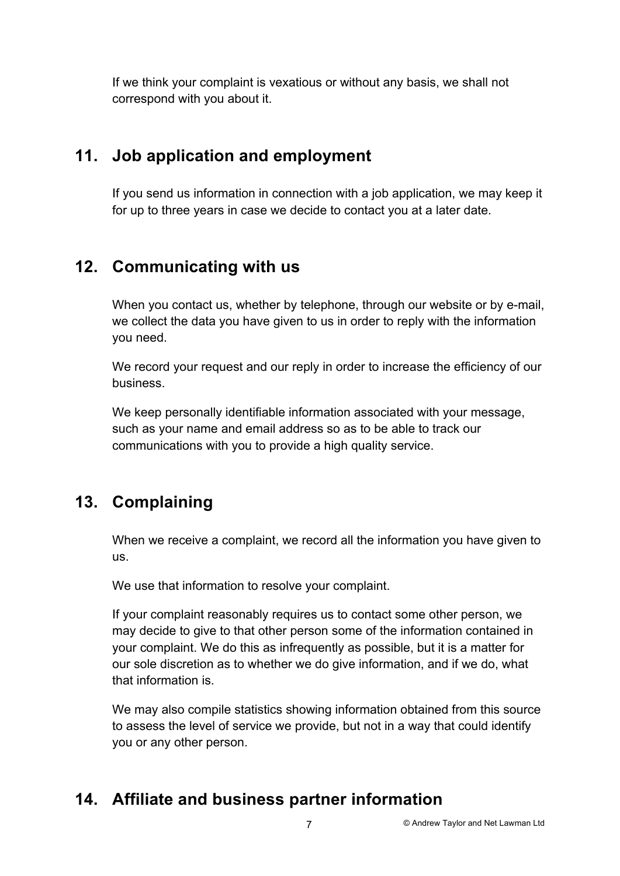If we think your complaint is vexatious or without any basis, we shall not correspond with you about it.

# **11. Job application and employment**

If you send us information in connection with a job application, we may keep it for up to three years in case we decide to contact you at a later date.

# **12. Communicating with us**

When you contact us, whether by telephone, through our website or by e-mail. we collect the data you have given to us in order to reply with the information you need.

We record your request and our reply in order to increase the efficiency of our business.

We keep personally identifiable information associated with your message, such as your name and email address so as to be able to track our communications with you to provide a high quality service.

# **13. Complaining**

When we receive a complaint, we record all the information you have given to us.

We use that information to resolve your complaint.

If your complaint reasonably requires us to contact some other person, we may decide to give to that other person some of the information contained in your complaint. We do this as infrequently as possible, but it is a matter for our sole discretion as to whether we do give information, and if we do, what that information is.

We may also compile statistics showing information obtained from this source to assess the level of service we provide, but not in a way that could identify you or any other person.

# **14. Affiliate and business partner information**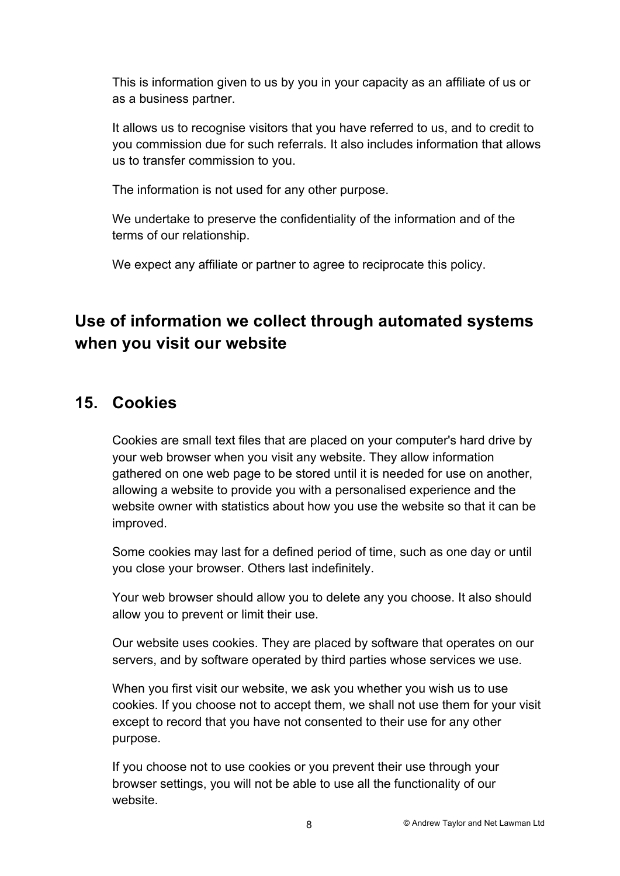This is information given to us by you in your capacity as an affiliate of us or as a business partner.

It allows us to recognise visitors that you have referred to us, and to credit to you commission due for such referrals. It also includes information that allows us to transfer commission to you.

The information is not used for any other purpose.

We undertake to preserve the confidentiality of the information and of the terms of our relationship.

We expect any affiliate or partner to agree to reciprocate this policy.

# **Use of information we collect through automated systems when you visit our website**

### **15. Cookies**

Cookies are small text files that are placed on your computer's hard drive by your web browser when you visit any website. They allow information gathered on one web page to be stored until it is needed for use on another, allowing a website to provide you with a personalised experience and the website owner with statistics about how you use the website so that it can be improved.

Some cookies may last for a defined period of time, such as one day or until you close your browser. Others last indefinitely.

Your web browser should allow you to delete any you choose. It also should allow you to prevent or limit their use.

Our website uses cookies. They are placed by software that operates on our servers, and by software operated by third parties whose services we use.

When you first visit our website, we ask you whether you wish us to use cookies. If you choose not to accept them, we shall not use them for your visit except to record that you have not consented to their use for any other purpose.

If you choose not to use cookies or you prevent their use through your browser settings, you will not be able to use all the functionality of our website.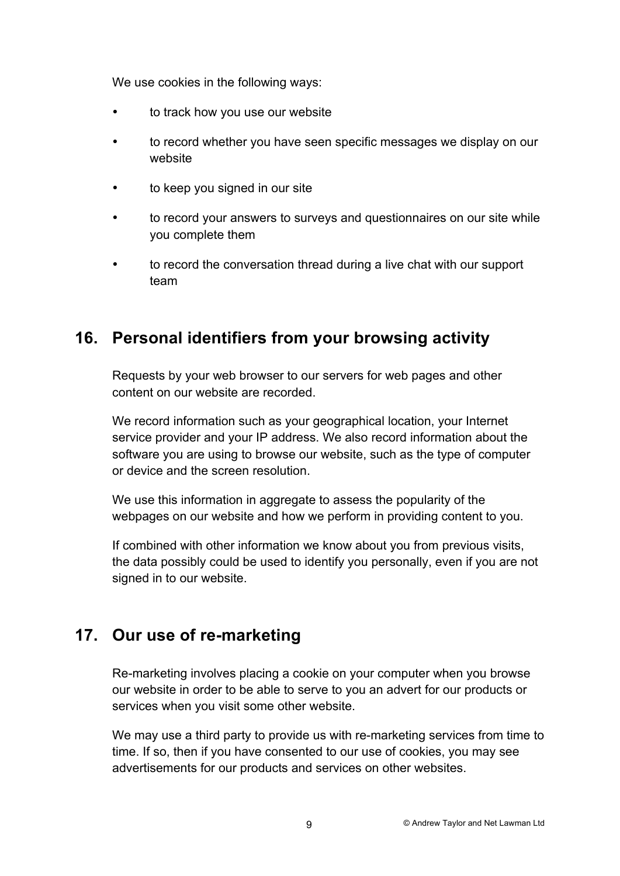We use cookies in the following ways:

- to track how you use our website
- to record whether you have seen specific messages we display on our website
- to keep you signed in our site
- to record your answers to surveys and questionnaires on our site while you complete them
- to record the conversation thread during a live chat with our support team

### **16. Personal identifiers from your browsing activity**

Requests by your web browser to our servers for web pages and other content on our website are recorded.

We record information such as your geographical location, your Internet service provider and your IP address. We also record information about the software you are using to browse our website, such as the type of computer or device and the screen resolution.

We use this information in aggregate to assess the popularity of the webpages on our website and how we perform in providing content to you.

If combined with other information we know about you from previous visits, the data possibly could be used to identify you personally, even if you are not signed in to our website.

# **17. Our use of re-marketing**

Re-marketing involves placing a cookie on your computer when you browse our website in order to be able to serve to you an advert for our products or services when you visit some other website.

We may use a third party to provide us with re-marketing services from time to time. If so, then if you have consented to our use of cookies, you may see advertisements for our products and services on other websites.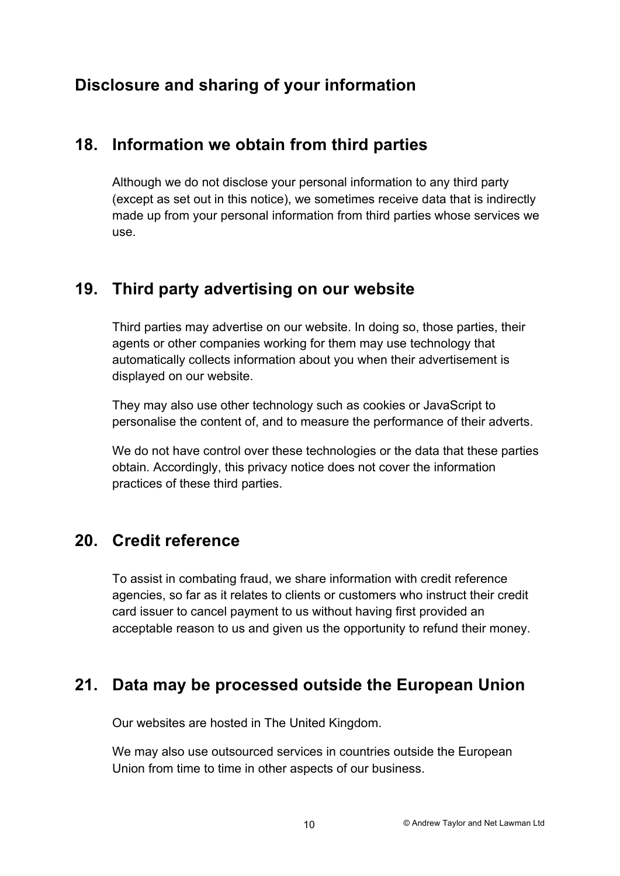# **Disclosure and sharing of your information**

#### **18. Information we obtain from third parties**

Although we do not disclose your personal information to any third party (except as set out in this notice), we sometimes receive data that is indirectly made up from your personal information from third parties whose services we use.

#### **19. Third party advertising on our website**

Third parties may advertise on our website. In doing so, those parties, their agents or other companies working for them may use technology that automatically collects information about you when their advertisement is displayed on our website.

They may also use other technology such as cookies or JavaScript to personalise the content of, and to measure the performance of their adverts.

We do not have control over these technologies or the data that these parties obtain. Accordingly, this privacy notice does not cover the information practices of these third parties.

#### **20. Credit reference**

To assist in combating fraud, we share information with credit reference agencies, so far as it relates to clients or customers who instruct their credit card issuer to cancel payment to us without having first provided an acceptable reason to us and given us the opportunity to refund their money.

#### **21. Data may be processed outside the European Union**

Our websites are hosted in The United Kingdom.

We may also use outsourced services in countries outside the European Union from time to time in other aspects of our business.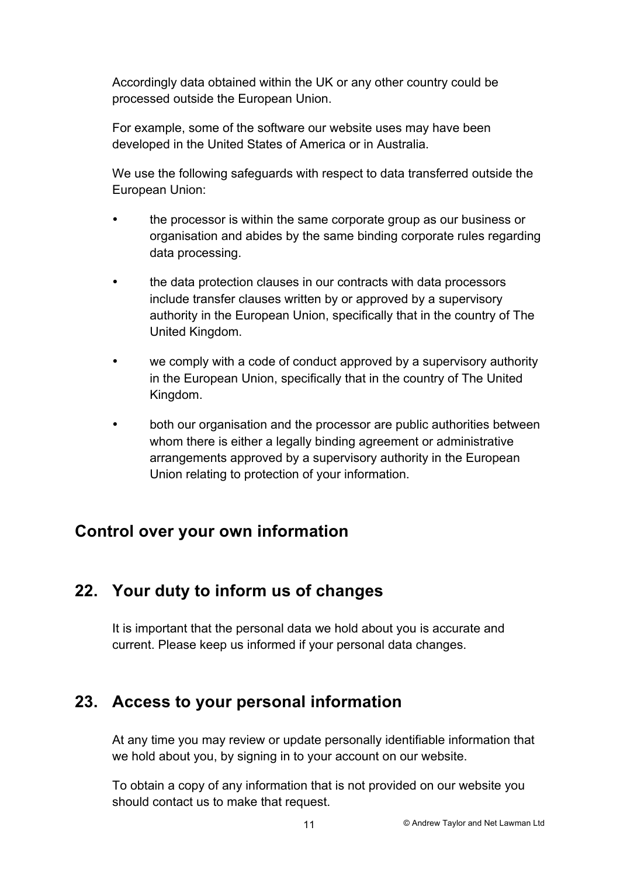Accordingly data obtained within the UK or any other country could be processed outside the European Union.

For example, some of the software our website uses may have been developed in the United States of America or in Australia.

We use the following safeguards with respect to data transferred outside the European Union:

- the processor is within the same corporate group as our business or organisation and abides by the same binding corporate rules regarding data processing.
- the data protection clauses in our contracts with data processors include transfer clauses written by or approved by a supervisory authority in the European Union, specifically that in the country of The United Kingdom.
- we comply with a code of conduct approved by a supervisory authority in the European Union, specifically that in the country of The United Kingdom.
- both our organisation and the processor are public authorities between whom there is either a legally binding agreement or administrative arrangements approved by a supervisory authority in the European Union relating to protection of your information.

# **Control over your own information**

# **22. Your duty to inform us of changes**

It is important that the personal data we hold about you is accurate and current. Please keep us informed if your personal data changes.

# **23. Access to your personal information**

At any time you may review or update personally identifiable information that we hold about you, by signing in to your account on our website.

To obtain a copy of any information that is not provided on our website you should contact us to make that request.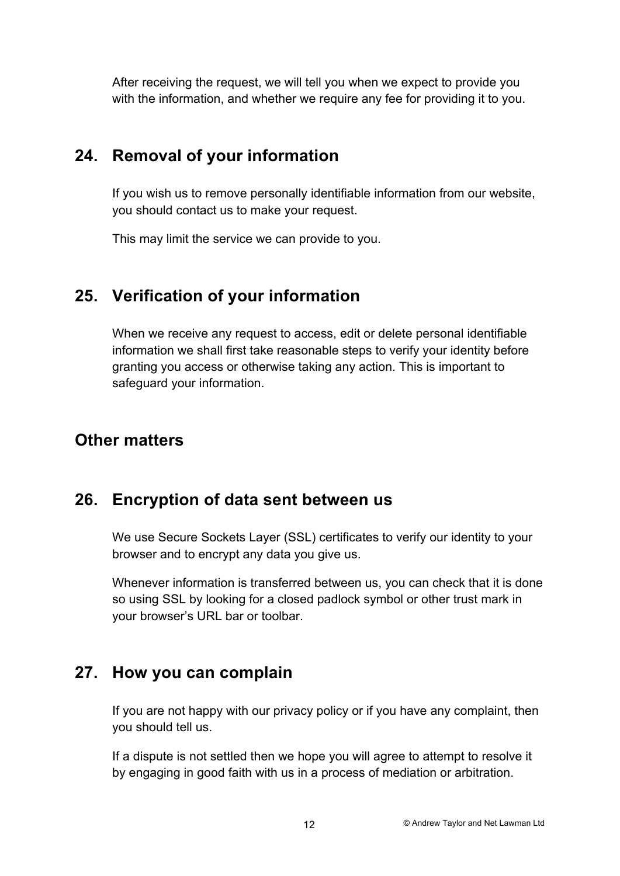After receiving the request, we will tell you when we expect to provide you with the information, and whether we require any fee for providing it to you.

### **24. Removal of your information**

If you wish us to remove personally identifiable information from our website, you should contact us to make your request.

This may limit the service we can provide to you.

# **25. Verification of your information**

When we receive any request to access, edit or delete personal identifiable information we shall first take reasonable steps to verify your identity before granting you access or otherwise taking any action. This is important to safeguard your information.

### **Other matters**

#### **26. Encryption of data sent between us**

We use Secure Sockets Layer (SSL) certificates to verify our identity to your browser and to encrypt any data you give us.

Whenever information is transferred between us, you can check that it is done so using SSL by looking for a closed padlock symbol or other trust mark in your browser's URL bar or toolbar.

#### **27. How you can complain**

If you are not happy with our privacy policy or if you have any complaint, then you should tell us.

If a dispute is not settled then we hope you will agree to attempt to resolve it by engaging in good faith with us in a process of mediation or arbitration.